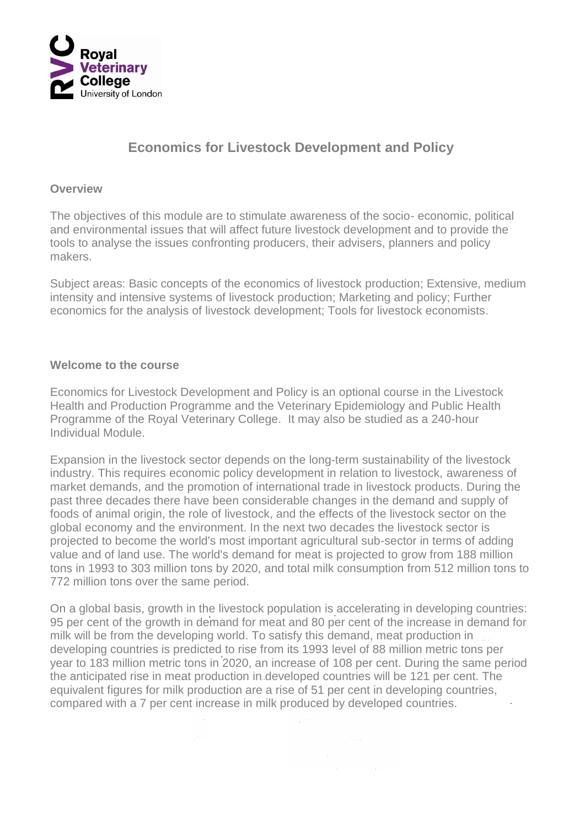

# **Economics for Livestock Development and Policy**

#### **Overview**

The objectives of this module are to stimulate awareness of the socio- economic, political and environmental issues that will affect future livestock development and to provide the tools to analyse the issues confronting producers, their advisers, planners and policy makers.

Subject areas: Basic concepts of the economics of livestock production; Extensive, medium intensity and intensive systems of livestock production; Marketing and policy; Further economics for the analysis of livestock development; Tools for livestock economists.

#### **Welcome to the course**

Economics for Livestock Development and Policy is an optional course in the Livestock Health and Production Programme and the Veterinary Epidemiology and Public Health Programme of the Royal Veterinary College. It may also be studied as a 240-hour Individual Module.

Expansion in the livestock sector depends on the long-term sustainability of the livestock industry. This requires economic policy development in relation to livestock, awareness of market demands, and the promotion of international trade in livestock products. During the past three decades there have been considerable changes in the demand and supply of foods of animal origin, the role of livestock, and the effects of the livestock sector on the global economy and the environment. In the next two decades the livestock sector is projected to become the world's most important agricultural sub-sector in terms of adding value and of land use. The world's demand for meat is projected to grow from 188 million tons in 1993 to 303 million tons by 2020, and total milk consumption from 512 million tons to 772 million tons over the same period.

On a global basis, growth in the livestock population is accelerating in developing countries: 95 per cent of the growth in demand for meat and 80 per cent of the increase in demand for milk will be from the developing world. To satisfy this demand, meat production in developing countries is predicted to rise from its 1993 level of 88 million metric tons per year to 183 million metric tons in 2020, an increase of 108 per cent. During the same period the anticipated rise in meat production in developed countries will be 121 per cent. The equivalent figures for milk production are a rise of 51 per cent in developing countries, compared with a 7 per cent increase in milk produced by developed countries.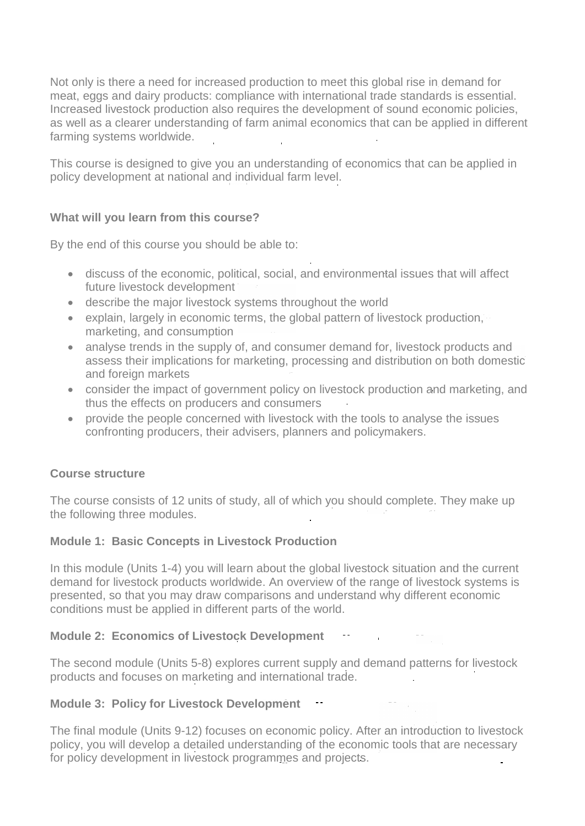Not only is there a need for increased production to meet this global rise in demand for meat, eggs and dairy products: compliance with international trade standards is essential. Increased livestock production also requires the development of sound economic policies, as well as a clearer understanding of farm animal economics that can be applied in different farming systems worldwide.

This course is designed to give you an understanding of economics that can be applied in policy development at national and individual farm level.

## **What will you learn from this course?**

By the end of this course you should be able to:

- discuss of the economic, political, social, and environmental issues that will affect future livestock development
- describe the major livestock systems throughout the world
- explain, largely in economic terms, the global pattern of livestock production, marketing, and consumption
- analyse trends in the supply of, and consumer demand for, livestock products and assess their implications for marketing, processing and distribution on both domestic and foreign markets
- consider the impact of government policy on livestock production and marketing, and thus the effects on producers and consumers
- provide the people concerned with livestock with the tools to analyse the issues confronting producers, their advisers, planners and policymakers.

### **Course structure**

The course consists of 12 units of study, all of which you should complete. They make up the following three modules.

### **Module 1: Basic Concepts in Livestock Production**

In this module (Units 1-4) you will learn about the global livestock situation and the current demand for livestock products worldwide. An overview of the range of livestock systems is presented, so that you may draw comparisons and understand why different economic conditions must be applied in different parts of the world.

### **Module 2: Economics of Livestock Development**

The second module (Units 5-8) explores current supply and demand patterns for livestock products and focuses on marketing and international trade.

### **Module 3: Policy for Livestock Development**

The final module (Units 9-12) focuses on economic policy. After an introduction to livestock policy, you will develop a detailed understanding of the economic tools that are necessary for policy development in livestock programmes and projects.